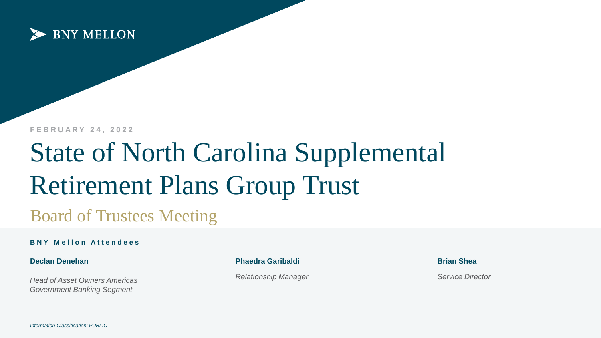

**F E B R U A R Y 2 4 , 2 0 2 2**

# State of North Carolina Supplemental Retirement Plans Group Trust Board of Trustees Meeting

#### **BNY Mellon Attendees**

**Declan Denehan**

*Head of Asset Owners Americas Government Banking Segment*

**Phaedra Garibaldi**

*Relationship Manager*

**Brian Shea**

*Service Director*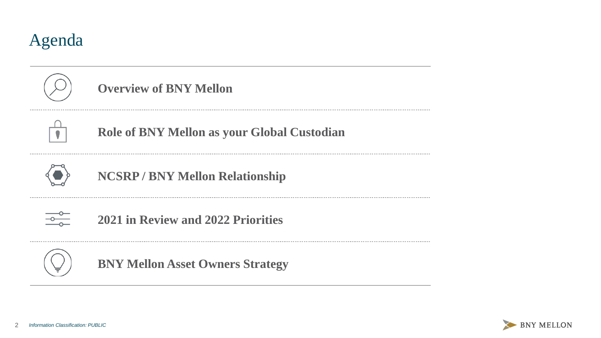



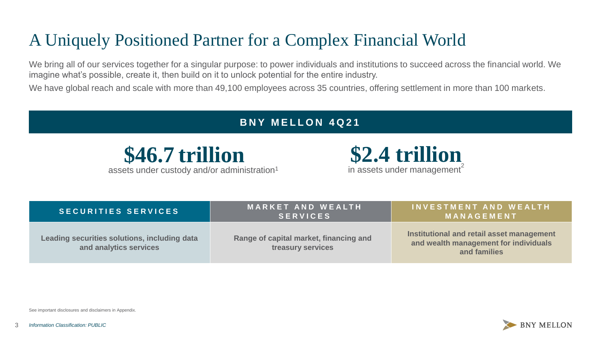## A Uniquely Positioned Partner for a Complex Financial World

We bring all of our services together for a singular purpose: to power individuals and institutions to succeed across the financial world. We imagine what's possible, create it, then build on it to unlock potential for the entire industry.

We have global reach and scale with more than 49,100 employees across 35 countries, offering settlement in more than 100 markets.

#### **BNY MELLON 4021**



assets under custody and/or administration<sup>1</sup>



| <b>SECURITIES SERVICES</b>                                             | <b>MARKET AND WEALTH</b><br><b>SERVICES</b>                 | INVESTMENT AND WEALTH<br><b>MANAGEMENT</b>                                                         |
|------------------------------------------------------------------------|-------------------------------------------------------------|----------------------------------------------------------------------------------------------------|
| Leading securities solutions, including data<br>and analytics services | Range of capital market, financing and<br>treasury services | Institutional and retail asset management<br>and wealth management for individuals<br>and families |

See important disclosures and disclaimers in Appendix.

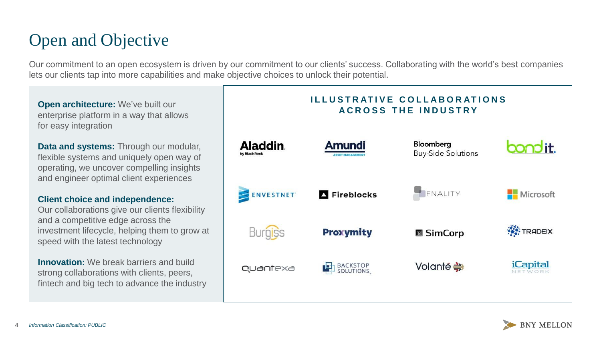## Open and Objective

Our commitment to an open ecosystem is driven by our commitment to our clients' success. Collaborating with the world's best companies lets our clients tap into more capabilities and make objective choices to unlock their potential.

**Open architecture:** We've built our enterprise platform in a way that allows for easy integration

**Data and systems:** Through our modular, flexible systems and uniquely open way of operating, we uncover compelling insights and engineer optimal client experiences

#### **Client choice and independence:**

Our collaborations give our clients flexibility and a competitive edge across the investment lifecycle, helping them to grow at speed with the latest technology

**Innovation:** We break barriers and build strong collaborations with clients, peers, fintech and big tech to advance the industry



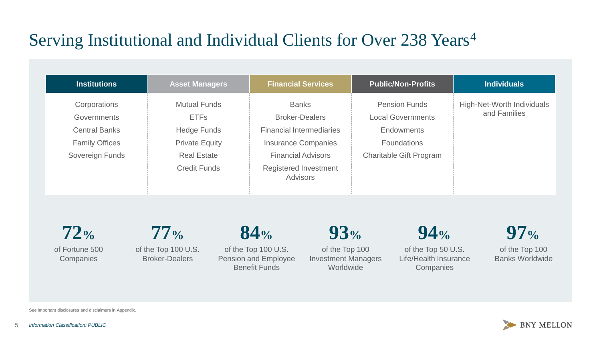## Serving Institutional and Individual Clients for Over 238 Years<sup>4</sup>

| <b>Institutions</b>                                                                                    | <b>Asset Managers</b>                                                                                                          | <b>Financial Services</b>                                                                                                                                                              | <b>Public/Non-Profits</b>                                                                                                     | <b>Individuals</b>                         |
|--------------------------------------------------------------------------------------------------------|--------------------------------------------------------------------------------------------------------------------------------|----------------------------------------------------------------------------------------------------------------------------------------------------------------------------------------|-------------------------------------------------------------------------------------------------------------------------------|--------------------------------------------|
| Corporations<br><b>Governments</b><br><b>Central Banks</b><br><b>Family Offices</b><br>Sovereign Funds | <b>Mutual Funds</b><br><b>ETFs</b><br><b>Hedge Funds</b><br><b>Private Equity</b><br><b>Real Estate</b><br><b>Credit Funds</b> | <b>Banks</b><br><b>Broker-Dealers</b><br><b>Financial Intermediaries</b><br><b>Insurance Companies</b><br><b>Financial Advisors</b><br><b>Registered Investment</b><br><b>Advisors</b> | <b>Pension Funds</b><br><b>Local Governments</b><br><b>Endowments</b><br><b>Foundations</b><br><b>Charitable Gift Program</b> | High-Net-Worth Individuals<br>and Families |

of Fortune 500 **72%**

**Companies** 

of the Top 100 U.S. Broker-Dealers **77%**

of the Top 100 U.S. Pension and Employee Benefit Funds

**84%**

**93%**

of the Top 100 Investment Managers Worldwide



of the Top 50 U.S. Life/Health Insurance **Companies** 

**97%**

of the Top 100 Banks Worldwide

**BNY MELLON** 

See important disclosures and disclaimers in Appendix.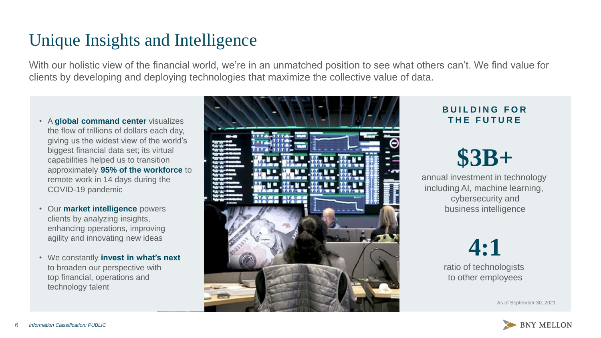#### Unique Insights and Intelligence

With our holistic view of the financial world, we're in an unmatched position to see what others can't. We find value for clients by developing and deploying technologies that maximize the collective value of data.

- A **global command center** visualizes the flow of trillions of dollars each day, giving us the widest view of the world's biggest financial data set; its virtual capabilities helped us to transition approximately **95% of the workforce** to remote work in 14 days during the COVID-19 pandemic
- Our **market intelligence** powers clients by analyzing insights, enhancing operations, improving agility and innovating new ideas
- We constantly **invest in what's next**  to broaden our perspective with top financial, operations and technology talent



#### **B U I L D I N G F O R T H E F U T U R E**

# **\$3B+**

annual investment in technology including AI, machine learning, cybersecurity and business intelligence

# **4:1**

ratio of technologists to other employees

As of September 30, 2021

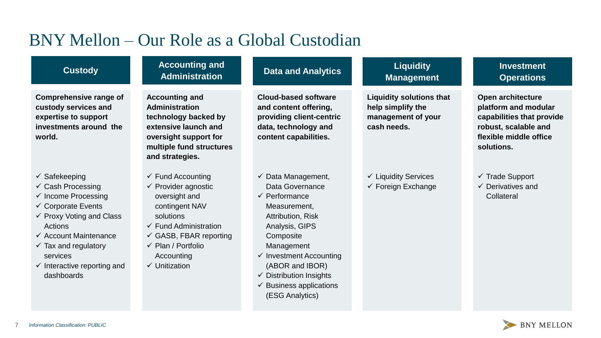## BNY Mellon – Our Role as a Global Custodian

| <b>Custody</b>                                                                                                                                                                                                                                                                                                           | <b>Accounting and</b><br><b>Administration</b>                                                                                                                                                                                                                     | <b>Data and Analytics</b>                                                                                                                                                                                                                                                                                                     | <b>Liquidity</b><br><b>Management</b>                                                     | <b>Investment</b><br><b>Operations</b>                                                                                                 |
|--------------------------------------------------------------------------------------------------------------------------------------------------------------------------------------------------------------------------------------------------------------------------------------------------------------------------|--------------------------------------------------------------------------------------------------------------------------------------------------------------------------------------------------------------------------------------------------------------------|-------------------------------------------------------------------------------------------------------------------------------------------------------------------------------------------------------------------------------------------------------------------------------------------------------------------------------|-------------------------------------------------------------------------------------------|----------------------------------------------------------------------------------------------------------------------------------------|
| <b>Comprehensive range of</b><br>custody services and<br>expertise to support<br>investments around the<br>world.                                                                                                                                                                                                        | <b>Accounting and</b><br><b>Administration</b><br>technology backed by<br>extensive launch and<br>oversight support for<br>multiple fund structures<br>and strategies.                                                                                             | <b>Cloud-based software</b><br>and content offering,<br>providing client-centric<br>data, technology and<br>content capabilities.                                                                                                                                                                                             | <b>Liquidity solutions that</b><br>help simplify the<br>management of your<br>cash needs. | Open architecture<br>platform and modular<br>capabilities that provide<br>robust, scalable and<br>flexible middle office<br>solutions. |
| $\checkmark$ Safekeeping<br>$\checkmark$ Cash Processing<br>$\checkmark$ Income Processing<br>$\checkmark$ Corporate Events<br>$\checkmark$ Proxy Voting and Class<br>Actions<br>$\checkmark$ Account Maintenance<br>$\checkmark$ Tax and regulatory<br>services<br>$\checkmark$ Interactive reporting and<br>dashboards | $\checkmark$ Fund Accounting<br>$\checkmark$ Provider agnostic<br>oversight and<br>contingent NAV<br>solutions<br>$\checkmark$ Fund Administration<br>$\checkmark$ GASB, FBAR reporting<br>$\checkmark$ Plan / Portfolio<br>Accounting<br>$\checkmark$ Unitization | $\checkmark$ Data Management,<br>Data Governance<br>$\checkmark$ Performance<br>Measurement,<br><b>Attribution, Risk</b><br>Analysis, GIPS<br>Composite<br>Management<br>$\checkmark$ Investment Accounting<br>(ABOR and IBOR)<br>$\checkmark$ Distribution Insights<br>$\checkmark$ Business applications<br>(ESG Analytics) | $\checkmark$ Liquidity Services<br>$\checkmark$ Foreign Exchange                          | $\checkmark$ Trade Support<br>$\checkmark$ Derivatives and<br>Collateral                                                               |

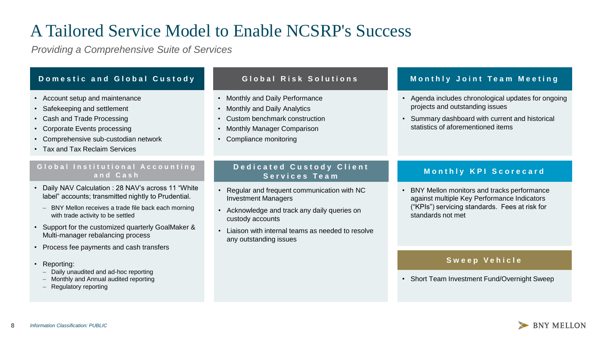## A Tailored Service Model to Enable NCSRP's Success

*Providing a Comprehensive Suite of Services*

| Domestic and Global Custody                                                                                                                                                                                | Global Risk Solutions                                                                                                                                          | <b>Monthly Joint Team Meeting</b>                                                                                                                                               |
|------------------------------------------------------------------------------------------------------------------------------------------------------------------------------------------------------------|----------------------------------------------------------------------------------------------------------------------------------------------------------------|---------------------------------------------------------------------------------------------------------------------------------------------------------------------------------|
| • Account setup and maintenance<br>• Safekeeping and settlement<br>• Cash and Trade Processing<br>• Corporate Events processing<br>• Comprehensive sub-custodian network<br>• Tax and Tax Reclaim Services | • Monthly and Daily Performance<br>• Monthly and Daily Analytics<br>• Custom benchmark construction<br>• Monthly Manager Comparison<br>• Compliance monitoring | • Agenda includes chronological updates for ongoing<br>projects and outstanding issues<br>• Summary dashboard with current and historical<br>statistics of aforementioned items |
| Global Institutional Accounting<br>and Cash                                                                                                                                                                | <b>Dedicated Custody Client</b><br>Services Team                                                                                                               | Monthly KPI Scorecard                                                                                                                                                           |

- Daily NAV Calculation : 28 NAV's across 11 "White label" accounts; transmitted nightly to Prudential.
	- BNY Mellon receives a trade file back each morning with trade activity to be settled
- Support for the customized quarterly GoalMaker & Multi-manager rebalancing process
- Process fee payments and cash transfers
- Reporting:
	- Daily unaudited and ad-hoc reporting
	- Monthly and Annual audited reporting
	- Regulatory reporting
- Regular and frequent communication with NC Investment Managers
- Acknowledge and track any daily queries on custody accounts
- Liaison with internal teams as needed to resolve any outstanding issues
- BNY Mellon monitors and tracks performance against multiple Key Performance Indicators ("KPIs") servicing standards. Fees at risk for standards not met

#### **S w e e p V e h i c l e**

• Short Team Investment Fund/Overnight Sweep

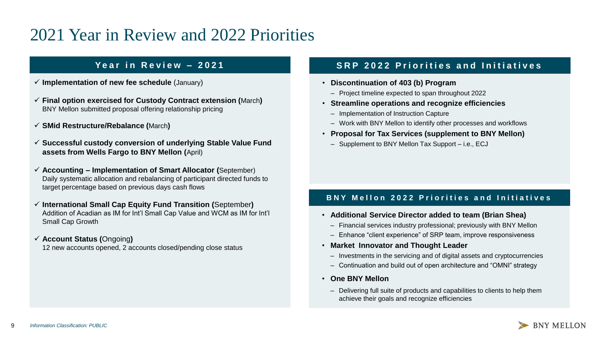### 2021 Year in Review and 2022 Priorities

- ✓ **Implementation of new fee schedule** (January)
- ✓ **Final option exercised for Custody Contract extension (**March**)**  BNY Mellon submitted proposal offering relationship pricing
- ✓ **SMid Restructure/Rebalance (**March**)**
- ✓ **Successful custody conversion of underlying Stable Value Fund assets from Wells Fargo to BNY Mellon (**April)
- ✓ **Accounting – Implementation of Smart Allocator (**September) Daily systematic allocation and rebalancing of participant directed funds to target percentage based on previous days cash flows
- ✓ **International Small Cap Equity Fund Transition (**September**)** Addition of Acadian as IM for Int'l Small Cap Value and WCM as IM for Int'l Small Cap Growth
- ✓ **Account Status (**Ongoing**)** 12 new accounts opened, 2 accounts closed/pending close status

#### **Year in Review - 2021 SRP 2022 Priorities and Initiatives**

- **Discontinuation of 403 (b) Program**
	- ‒ Project timeline expected to span throughout 2022
- **Streamline operations and recognize efficiencies**
	- ‒ Implementation of Instruction Capture
	- ‒ Work with BNY Mellon to identify other processes and workflows
- **Proposal for Tax Services (supplement to BNY Mellon)**
	- ‒ Supplement to BNY Mellon Tax Support i.e., ECJ

#### **BNY Mellon 2022 Priorities and Initiatives**

- **Additional Service Director added to team (Brian Shea)** 
	- ‒ Financial services industry professional; previously with BNY Mellon
	- ‒ Enhance "client experience" of SRP team, improve responsiveness
- **Market Innovator and Thought Leader**
	- ‒ Investments in the servicing and of digital assets and cryptocurrencies
	- Continuation and build out of open architecture and "OMNI" strategy
- **One BNY Mellon**
	- Delivering full suite of products and capabilities to clients to help them achieve their goals and recognize efficiencies

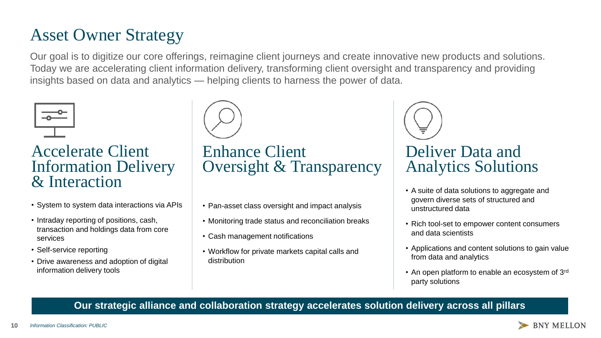## Asset Owner Strategy

Our goal is to digitize our core offerings, reimagine client journeys and create innovative new products and solutions. Today we are accelerating client information delivery, transforming client oversight and transparency and providing insights based on data and analytics — helping clients to harness the power of data.



Accelerate Client Information Delivery & Interaction

- System to system data interactions via APIs
- Intraday reporting of positions, cash, transaction and holdings data from core services
- Self-service reporting
- Drive awareness and adoption of digital information delivery tools



Enhance Client Oversight & Transparency

- Pan-asset class oversight and impact analysis
- Monitoring trade status and reconciliation breaks
- Cash management notifications
- Workflow for private markets capital calls and distribution



- A suite of data solutions to aggregate and govern diverse sets of structured and unstructured data
- Rich tool-set to empower content consumers and data scientists
- Applications and content solutions to gain value from data and analytics
- An open platform to enable an ecosystem of 3rd party solutions

#### **Our strategic alliance and collaboration strategy accelerates solution delivery across all pillars**

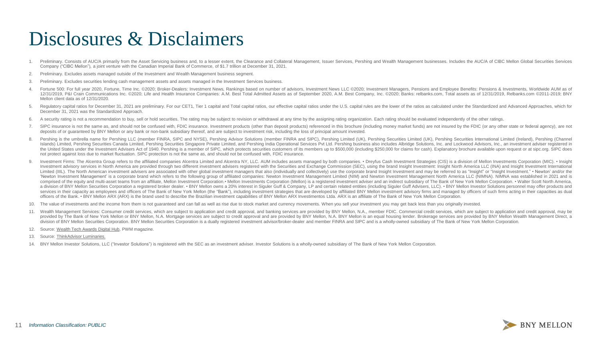## Disclosures & Disclaimers

- 1. Preliminary. Consists of AUC/A primarily from the Asset Servicing business and, to a lesser extent, the Clearance and Collateral Management, Issuer Services, Pershing and Wealth Management businesses. Includes the AUC/A Company ("CIBC Mellon"), a joint venture with the Canadian Imperial Bank of Commerce, of \$1.7 trillion at December 31, 2021.
- 2. Preliminary. Excludes assets managed outside of the Investment and Wealth Management business segment.
- 3. Preliminary. Excludes securities lending cash management assets and assets managed in the Investment Services business.
- 4. Fortune 500: For full year 2020. Fortune. Time Inc. ©2020: Broker-Dealers: Investment News. Rankings based on number of advisors. Investment News LLC ©2020: Investment Managers. Pensions and Employee Benefits: Pensions 12/31/2019, P&I Crain Communications Inc. ©2020; Life and Health Insurance Companies: A.M. Best Total Admitted Assets as of September 2020, A.M. Best Company, Inc. ©2020; Banks: relbanks.com, Total assets as of 12/31/2019, Mellon client data as of 12/31/2020.
- 5. Regulatory capital ratios for December 31, 2021 are preliminary. For our CET1, Tier 1 capital and Total capital ratios, our effective capital ratios under the U.S. capital rules are the lower of the ratios as calculated December 31, 2021 was the Standardized Approach.
- 6. A security rating is not a recommendation to buy, sell or hold securities. The rating may be subject to revision or withdrawal at any time by the assigning rating organization. Each rating should be evaluated independen
- 7. SIPC insurance is not the same as, and should not be confused with, FDIC insurance. Investment products (other than deposit products) referenced in this brochure (including money market funds) are not insured by the FDI deposits of or guaranteed by BNY Mellon or any bank or non-bank subsidiary thereof, and are subject to investment risk, including the loss of principal amount invested.
- 8. Pershing is the umbrella name for Pershing LLC (member FINRA, SIPC and NYSE), Pershing Advisor Solutions (member FINRA and SIPC), Pershing Limited (UK), Pershing Securities Limited (UK), Pershing Securities Internationa Islands) Limited. Pershing Securities Canada Limited. Pershing Securities Singapore Private Limited, and Pershing India Operational Services Pvt Ltd. Pershing business also includes Albridge Solutions, Inc. and Lockwood Ad the United States under the Investment Advisers Act of 1940. Pershing is a member of SIPC, which protects securities customers of its members up to \$500,000 (including \$250,000 for claims for cash). Explanatory brochure av not protect against loss due to market fluctuation. SIPC protection is not the same as, and should not be confused with, FDIC insurance.
- 9. Investment Firms: The Alcentra Group refers to the affiliated companies Alcentra Limited and Alcentra NY, LLC. AUM includes assets managed by both companies. Dreyfus Cash Investment Strategies (CIS) is a division of M Investment advisory services in North America are provided through two different investment advisers registered with the Securities and Exchange Commission (SEC), using the brand Insight Investment; Insight North America L Limited (IIIL). The North American investment advisers are associated with other global investment managers that also (individually and collectively) use the corporate brand Insight Investment and may be referred to as "In 'Newton Investment Management' is a corporate brand which refers to the following group of affiliated companies: Newton Investment Management Limited (NIM) and Newton Investment Management North America LLC (NIMNA). NIMNA comprised of the equity and multi-asset teams from an affiliate, Mellon Investment Corporation. • Mellon Investments Corporation (Mellon) is a registered investment adviser and an indirect subsidiary of The Bank of New Yor a division of BNY Mellon Securities Corporation a registered broker dealer. • BNY Mellon owns a 20% interest in Siguler Guff & Company, LP and certain related entities (including Siguler Guff Advisers, LLC). • BNY Mellon I services in their capacity as employees and officers of The Bank of New York Mellon (the "Bank"), including investment strategies that are developed by affiliated BNY Mellon investment advisory firms and managed by officer officers of the Bank. • BNY Mellon ARX (ARX) is the brand used to describe the Brazilian investment capabilities of BNY Mellon ARX Investimentos Ltda. ARX is an affiliate of The Bank of New York Mellon Corporation.
- 10. The value of investments and the income from them is not guaranteed and can fall as well as rise due to stock market and currency movements. When you sell your investment you may get back less than you originally inves
- 11. Wealth Management Services: Consumer credit services, which are subject to application and credit approval, and banking services are provided by BNY Mellon, N.A., member FDIC. Commercial credit services, which are subj provided by The Bank of New York Mellon or BNY Mellon, N.A. Mortgage services are subject to credit approval and are provided by BNY Mellon, N.A. BNY Mellon is an equal housing lender. Brokerage services are provided by BN division of BNY Mellon Securities Corporation. BNY Mellon Securities Corporation is a dually registered investment advisor/broker-dealer and member FINRA and SIPC and is a wholly-owned subsidiary of The Bank of New York Me
- 12. Source: Wealth Tech [Awards](https://pwmwealthtechawards.com/BNYMellonWealth/) Digital Hub, PWM magazine.
- 13. Source: [ThinkAdvisor](https://event.thinkadvisor.com/luminaries-awards/class-2021) Luminaries[.](https://events.idg.com/event-series/cio100-symposium-and-awards/sponsors/sponsorship-opportunities/)
- 14. BNY Mellon Investor Solutions, LLC ("Investor Solutions") is registered with the SEC as an investment adviser. Investor Solutions is a wholly-owned subsidiary of The Bank of New York Mellon Corporation.

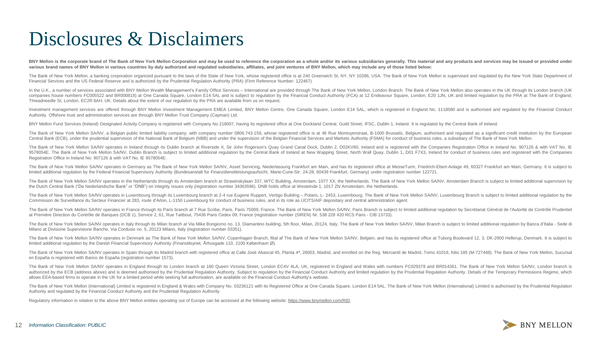## Disclosures & Disclaimers

BNY Mellon is the corporate brand of The Bank of New York Mellon Corporation and may be used to reference the corporation as a whole and/or its various subsidiaries generally. This material and any products and services ma various brand names of BNY Mellon in various countries by duly authorized and regulated subsidiaries, affiliates, and joint ventures of BNY Mellon, which may include any of those listed below:

The Bank of New York Mellon, a banking corporation organized pursuant to the laws of the State of New York, whose registered office is at 240 Greenwich St, NY, NY 10286, USA. The Bank of New York Mellon is supervised and r Financial Services and the US Federal Reserve and is authorized by the Prudential Regulation Authority (PRA) (Firm Reference Number: 122467).

In the U.K., a number of services associated with BNY Mellon Wealth Management's Family Office Services - International are provided through The Bank of New York Mellon, London Branch. The Bank of New York Mellon also oper companies house numbers FC005522 and BR000818) at One Canada Square, London E14 5AL and is subject to regulation by the Financial Conduct Authority (FCA) at 12 Endeavour Square, London, E20 1JN, UK and limited regulation b Threadneedle St, London, EC2R 8AH, UK. Details about the extent of our regulation by the PRA are available from us on request.

Investment management services are offered through BNY Mellon Investment Management EMEA Limited, BNY Mellon Centre, One Canada Square, London E14 5AL, which is registered in England No. 1118580 and is authorised and regul Authority. Offshore trust and administration services are through BNY Mellon Trust Company (Cayman) Ltd.

BNY Mellon Fund Services (Ireland) Designated Activity Company is registered with Company No 218007, having its registered office at One Dockland Central, Guild Street, IFSC, Dublin 1, Ireland. It is requlated by the Centr

The Bank of New York Mellon SA/NV, a Belgian public limited liability company, with company number 0806.743.159, whose registered office is at 46 Rue Montoyerstraat, B-1000 Brussels, Belgium, authorised and regulated as a Central Bank (ECB), under the prudential supervision of the National Bank of Belgium (NBB) and under the supervision of the Belgian Financial Services and Markets Authority (FSMA) for conduct of business rules, a subsidiar

The Bank of New York Mellon SA/NV operates in Ireland through its Dublin branch at Riverside II, Sir John Rogerson's Quay Grand Canal Dock, Dublin 2, D02KV60, Ireland and is registered with the Companies Registration Offic 9578054E. The Bank of New York Mellon SA/NV, Dublin Branch is subject to limited additional regulation by the Central Bank of Ireland at New Wapping Street, North Wall Quay, Dublin 1, D01 F7X3, Ireland for conduct of busin Registration Office in Ireland No. 907126 & with VAT No. IE 9578054E.

The Bank of New York Mellon SA/NV operates in Germany as The Bank of New York Mellon SA/NV, Asset Servicing, Niederlassung Frankfurt am Main, and has its registered office at MesseTurm, Friedrich-Ebert-Anlage 49, 60327 Fra limited additional regulation by the Federal Financial Supervisory Authority (Bundesanstalt für Finanzdienstleistungsaufsicht, Marie-Curie-Str. 24-28, 60439 Frankfurt, Germany) under registration number 122721.

The Bank of New York Mellon SA/NV operates in the Netherlands through its Amsterdam branch at Strawinskylaan 337. WTC Building, Amsterdam, 1077 XX, the Netherlands. The Bank of New York Mellon SA/NV, Amsterdam Branch is su the Dutch Central Bank ("De Nederlandsche Bank" or "DNB") on integrity issues only (registration number 34363596). DNB holds office at Westeinde 1, 1017 ZN Amsterdam, the Netherlands.

The Bank of New York Mellon SA/NV operates in Luxembourg through its Luxembourg branch at 2-4 rue Eugene Ruppert, Vertigo Building - Polaris, L- 2453, Luxembourg. The Bank of New York Mellon SA/NV, Luxembourg Branch is sub Commission de Surveillance du Secteur Financier at 283, route d'Arlon, L-1150 Luxembourg for conduct of business rules, and in its role as UCITS/AIF depositary and central administration agent.

The Bank of New York Mellon SA/NV operates in France through its Paris branch at 7 Rue Scribe, Paris, Paris, Paris 75009, France. The Bank of New York Mellon SA/NV, Paris Branch is subject to limited additional regulation at Première Direction du Contrôle de Banques (DCB 1), Service 2, 61, Rue Taitbout, 75436 Paris Cedex 09, France (registration number (SIREN) Nr. 538 228 420 RCS Paris - CIB 13733).

The Bank of New York Mellon SA/NV operates in Italy through its Milan branch at Via Mike Bongiorno no. 13, Diamantino building, 5th floor, Milan, 20124, Italy. The Bank of New York Mellon SA/NV, Milan Branch is subject to Milano at Divisione Supervisione Banche, Via Cordusio no. 5, 20123 Milano, Italy (registration number 03351).

The Bank of New York Mellon SA/NV operates in Denmark as The Bank of New York Mellon SA/NV, Copenhagen Branch, filial af The Bank of New York Mellon SA/NV, Belgien, and has its registered office at Tuborg Boulevard 12, 3. limited additional regulation by the Danish Financial Supervisory Authority (Finanstilsynet, Århusgade 110, 2100 København Ø).

The Bank of New York Mellon SA/NV operates in Spain through its Madrid branch with registered office at Calle José Abascal 45. Planta 4ª, 28003. Madrid, and enrolled on the Reg. Mercantil de Madrid. Tomo 41019, folio 185 ( en España is registered with Banco de España (registration number 1573).

The Bank of New York Mellon SA/NV operates in England through its London branch at 160 Queen Victoria Street, London EC4V 4LA, UK, registered in England and Wales with numbers FC029379 and BR014361. The Bank of New York Me authorized by the ECB (address above) and is deemed authorised by the Prudential Regulation Authority. Subject to regulation by the Financial Conduct Authority and limited regulation by the Prudential Regulation Authority. allows EEA-based firms to operate in the UK for a limited period while seeking full authorisation, are available on the Financial Conduct Authority's website.

The Bank of New York Mellon (International) Limited is registered in England & Wales with Company No. 03236121 with its Registered Office at One Canada Square, London E14 5AL. The Bank of New York Mellon (International) Li Authority and regulated by the Financial Conduct Authority and the Prudential Regulation Authority.

Regulatory information in relation to the above BNY Mellon entities operating out of Europe can be accessed at the following website: <https://www.bnymellon.com/RID>.

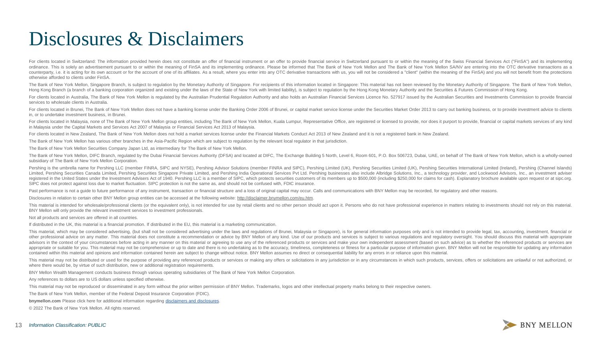## Disclosures & Disclaimers

For clients located in Switzerland: The information provided herein does not constitute an offer of financial instrument or an offer to provide financial service in Switzerland pursuant to or within the meaning of the Swis ordinance. This is solely an advertisement pursuant to or within the meaning of FinSA and its implementing ordinance. Please be informed that The Bank of New York Mellon and The Bank of New York Mellon SA/NV are entering i counterparty, i.e. it is acting for its own account or for the account of one of its affiliates. As a result, where you enter into any OTC derivative transactions with us, you will not be considered a "client" (within the otherwise afforded to clients under FinSA.

The Bank of New York Mellon, Singapore Branch, is subject to regulation by the Monetary Authority of Singapore. For recipients of this information located in Singapore: This material has not been reviewed by the Monetary A Hong Kong Branch (a branch of a banking corporation organized and existing under the laws of the State of New York with limited liability), is subject to regulation by the Hong Kong Monetary Authority and the Securities &

For clients located in Australia. The Bank of New York Mellon is regulated by the Australian Prudential Regulation Authority and also holds an Australian Financial Services Licence No. 527917 issued by the Australian Secur services to wholesale clients in Australia.

For clients located in Brunei, The Bank of New York Mellon does not have a banking license under the Banking Order 2006 of Brunei, or capital market service license under the Securities Market Order 2013 to carry out banki in, or to undertake investment business, in Brunei.

For clients located in Malaysia, none of The Bank of New York Mellon group entities, including The Bank of New York Mellon, Kuala Lumpur, Representative Office, are registered or licensed to provide, nor does it purport to in Malaysia under the Capital Markets and Services Act 2007 of Malaysia or Financial Services Act 2013 of Malaysia.

For clients located in New Zealand, The Bank of New York Mellon does not hold a market services license under the Financial Markets Conduct Act 2013 of New Zealand and it is not a registered bank in New Zealand.

The Bank of New York Mellon has various other branches in the Asia-Pacific Region which are subject to regulation by the relevant local regulator in that jurisdiction.

The Bank of New York Mellon Securities Company Japan Ltd, as intermediary for The Bank of New York Mellon.

The Bank of New York Mellon, DIFC Branch, regulated by the Dubai Financial Services Authority (DFSA) and located at DIFC, The Exchange Building 5 North, Level 6, Room 601, P.O. Box 506723, Dubai, UAE, on behalf of The Bank subsidiary of The Bank of New York Mellon Corporation.

Pershing is the umbrella name for Pershing LLC (member FINRA, SIPC and NYSE). Pershing Advisor Solutions (member FINRA and SIPC). Pershing Limited (UK). Pershing Securities Limited (UK). Pershing Securities International L Limited, Pershing Securities Canada Limited, Pershing Securities Singapore Private Limited, and Pershing India Operational Services Pvt Ltd. Pershing businesses also include Albridge Solutions, Inc., a technology provider, registered in the United States under the Investment Advisers Act of 1940. Pershing LLC is a member of SIPC, which protects securities customers of its members up to \$500,000 (including \$250,000 for claims for cash). Expla SIPC does not protect against loss due to market fluctuation. SIPC protection is not the same as, and should not be confused with, FDIC insurance.

Past performance is not a guide to future performance of any instrument, transaction or financial structure and a loss of original capital may occur. Calls and communications with BNY Mellon may be recorded, for regulatory

Disclosures in relation to certain other BNY Mellon group entities can be accessed at the following website: <http://disclaimer.bnymellon.com/eu.htm>.

This material is intended for wholesale/professional clients (or the equivalent only), is not intended for use by retail clients and no other person should act upon it. Persons who do not have professional experience in ma BNY Mellon will only provide the relevant investment services to investment professionals.

Not all products and services are offered in all countries.

If distributed in the UK, this material is a financial promotion. If distributed in the EU, this material is a marketing communication.

This material, which may be considered advertising, (but shall not be considered advertising under the laws and regulations of Brunei, Malaysia or Singapore), is for general information purposes only and is not intended to other professional advice on any matter. This material does not constitute a recommendation or advice by BNY Mellon of any kind. Use of our products and services is subject to various regulations and regulatory oversight. advisors in the context of your circumstances before acting in any manner on this material or agreeing to use any of the referenced products or services and make your own independent assessment (based on such advice) as to appropriate or suitable for you. This material may not be comprehensive or up to date and there is no undertaking as to the accuracy, timeliness, completeness or fitness for a particular purpose of information given. BNY M contained within this material and opinions and information contained herein are subject to change without notice. BNY Mellon assumes no direct or consequential liability for any errors in or reliance upon this material.

This material may not be distributed or used for the purpose of providing any referenced products or services or making any offers or solicitations in any jurisdiction or in any circumstances in which such products, servic where there would be, by virtue of such distribution, new or additional registration requirements.

BNY Mellon Wealth Management conducts business through various operating subsidiaries of The Bank of New York Mellon Corporation.

Any references to dollars are to US dollars unless specified otherwise.

This material may not be reproduced or disseminated in any form without the prior written permission of BNY Mellon. Trademarks, logos and other intellectual property marks belong to their respective owners.

The Bank of New York Mellon, member of the Federal Deposit Insurance Corporation (FDIC).

**bnymellon.com** Please click here for additional information regarding disclaimers and [disclosures.](https://www.bnymellon.com/us/en/disclaimers/business-disclaimers.jsp)

© 2022 The Bank of New York Mellon. All rights reserved.